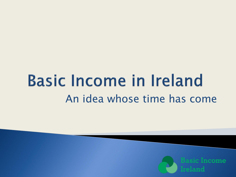# **Basic Income in Ireland** An idea whose time has come

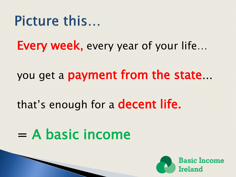#### Picture this...

Every week, every year of your life...

you get a payment from the state…

that's enough for a decent life.

# $=$  A basic income

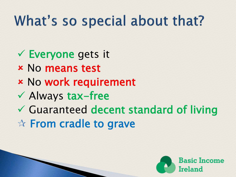# What's so special about that?

- Everyone gets it
- No means test
- No work requirement
- $\checkmark$  Always tax-free
- Guaranteed decent standard of living ☆ From cradle to grave

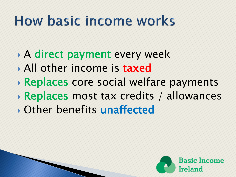# How basic income works

- A direct payment every week
- All other income is **taxed**
- Replaces core social welfare payments
- **Replaces most tax credits / allowances**
- Other benefits unaffected

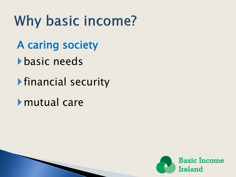Why basic income?

A caring society

**basic needs** 

financial security

mutual care

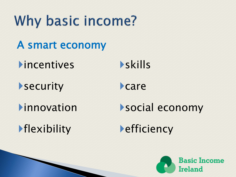Why basic income? A smart economy  $\triangleright$  incentives  $\triangleright$  skills Security Care Innovation Social economy **Flexibility** efficiency

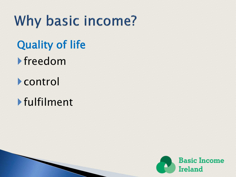Why basic income? Quality of life freedom

control

fulfilment

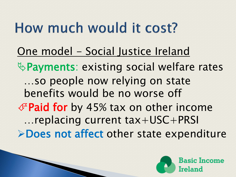# How much would it cost?

One model - Social Justice Ireland & Payments: existing social welfare rates …so people now relying on state benefits would be no worse off  $\mathscr F$  Paid for by 45% tax on other income …replacing current tax+USC+PRSI **>Does not affect other state expenditure** 

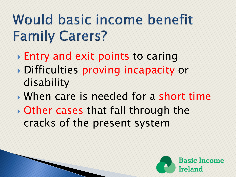# Would basic income benefit **Family Carers?**

- Entry and exit points to caring
- Difficulties proving incapacity or disability
- When care is needed for a short time
- Other cases that fall through the cracks of the present system

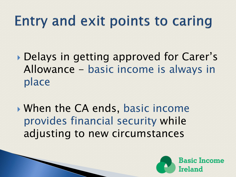# Entry and exit points to caring

- Delays in getting approved for Carer's Allowance - basic income is always in place
- When the CA ends, basic income provides financial security while adjusting to new circumstances

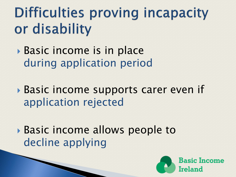# **Difficulties proving incapacity** or disability

- Basic income is in place during application period
- Basic income supports carer even if application rejected
- Basic income allows people to decline applying

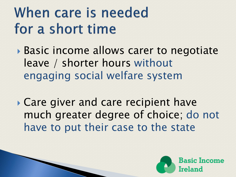# When care is needed for a short time

- Basic income allows carer to negotiate leave / shorter hours without engaging social welfare system
- Care giver and care recipient have much greater degree of choice; do not have to put their case to the state

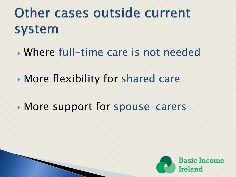### Other cases outside current system

- Where full-time care is not needed
- More flexibility for shared care
- More support for spouse-carers

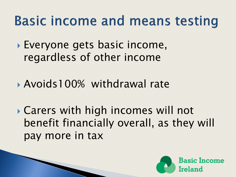### **Basic income and means testing**

 Everyone gets basic income, regardless of other income

Avoids100% withdrawal rate

 Carers with high incomes will not benefit financially overall, as they will pay more in tax

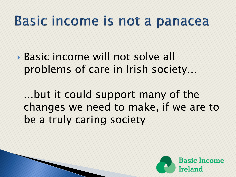### Basic income is not a panacea

 Basic income will not solve all problems of care in Irish society...

...but it could support many of the changes we need to make, if we are to be a truly caring society

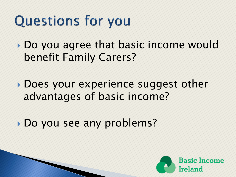# **Questions for you**

Do you agree that basic income would benefit Family Carers?

▶ Does your experience suggest other advantages of basic income?

Do you see any problems?

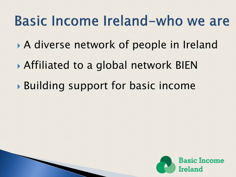### Basic Income Ireland-who we are

- A diverse network of people in Ireland
- Affiliated to a global network BIEN
- Building support for basic income